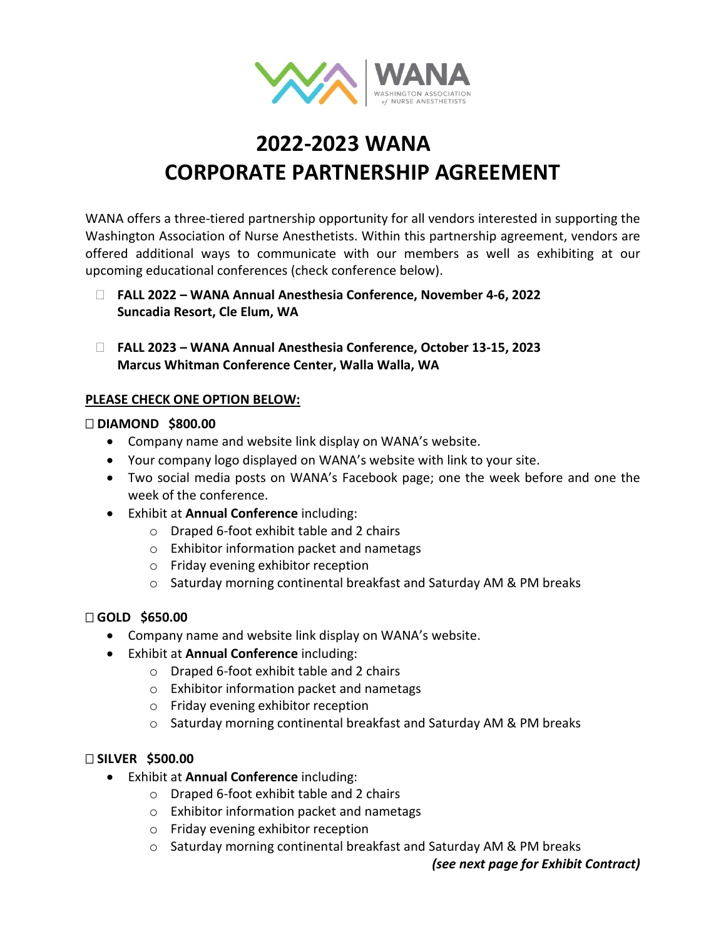

# **2022-2023 WANA CORPORATE PARTNERSHIP AGREEMENT**

WANA offers a three-tiered partnership opportunity for all vendors interested in supporting the Washington Association of Nurse Anesthetists. Within this partnership agreement, vendors are offered additional ways to communicate with our members as well as exhibiting at our upcoming educational conferences (check conference below).

- **FALL 2022 – WANA Annual Anesthesia Conference, November 4-6, 2022 Suncadia Resort, Cle Elum, WA**
- **FALL 2023 – WANA Annual Anesthesia Conference, October 13-15, 2023 Marcus Whitman Conference Center, Walla Walla, WA**

### **PLEASE CHECK ONE OPTION BELOW:**

#### **DIAMOND \$800.00**

- Company name and website link display on WANA's website.
- Your company logo displayed on WANA's website with link to your site.
- Two social media posts on WANA's Facebook page; one the week before and one the week of the conference.
- Exhibit at **Annual Conference** including:
	- o Draped 6-foot exhibit table and 2 chairs
	- o Exhibitor information packet and nametags
	- o Friday evening exhibitor reception
	- o Saturday morning continental breakfast and Saturday AM & PM breaks

### **GOLD \$650.00**

- Company name and website link display on WANA's website.
- Exhibit at **Annual Conference** including:
	- o Draped 6-foot exhibit table and 2 chairs
	- o Exhibitor information packet and nametags
	- o Friday evening exhibitor reception
	- o Saturday morning continental breakfast and Saturday AM & PM breaks

### **SILVER \$500.00**

- Exhibit at **Annual Conference** including:
	- o Draped 6-foot exhibit table and 2 chairs
	- o Exhibitor information packet and nametags
	- o Friday evening exhibitor reception
	- o Saturday morning continental breakfast and Saturday AM & PM breaks

*(see next page for Exhibit Contract)*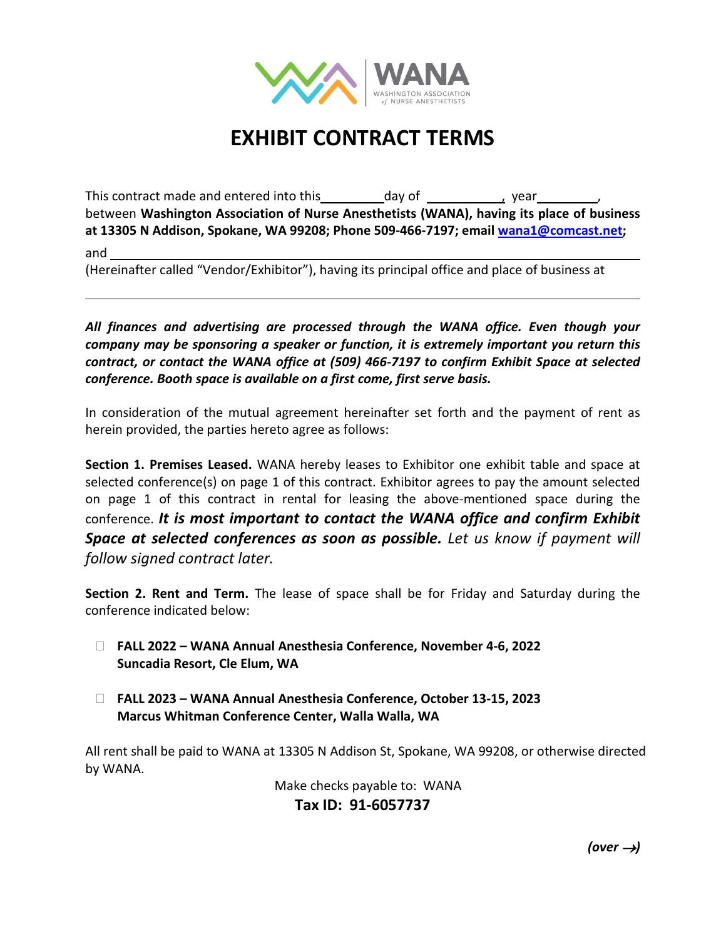

## **EXHIBIT CONTRACT TERMS**

This contract made and entered into this day of the contract made and entered into this between **Washington Association of Nurse Anesthetists (WANA), having its place of business at 13305 N Addison, Spokane, WA 99208; Phone 509-466-7197; email [wana1@comcast.net;](mailto:wana1@comcast.net)**  and

(Hereinafter called "Vendor/Exhibitor"), having its principal office and place of business at

*All finances and advertising are processed through the WANA office. Even though your company may be sponsoring a speaker or function, it is extremely important you return this contract, or contact the WANA office at (509) 466-7197 to confirm Exhibit Space at selected conference. Booth space is available on a first come, first serve basis.* 

In consideration of the mutual agreement hereinafter set forth and the payment of rent as herein provided, the parties hereto agree as follows:

**Section 1. Premises Leased.** WANA hereby leases to Exhibitor one exhibit table and space at selected conference(s) on page 1 of this contract. Exhibitor agrees to pay the amount selected on page 1 of this contract in rental for leasing the above-mentioned space during the conference. *It is most important to contact the WANA office and confirm Exhibit Space at selected conferences as soon as possible. Let us know if payment will follow signed contract later.*

**Section 2. Rent and Term.** The lease of space shall be for Friday and Saturday during the conference indicated below:

- **FALL 2022 – WANA Annual Anesthesia Conference, November 4-6, 2022 Suncadia Resort, Cle Elum, WA**
- **FALL 2023 – WANA Annual Anesthesia Conference, October 13-15, 2023 Marcus Whitman Conference Center, Walla Walla, WA**

All rent shall be paid to WANA at 13305 N Addison St, Spokane, WA 99208, or otherwise directed by WANA.

> Make checks payable to: WANA **Tax ID: 91-6057737**